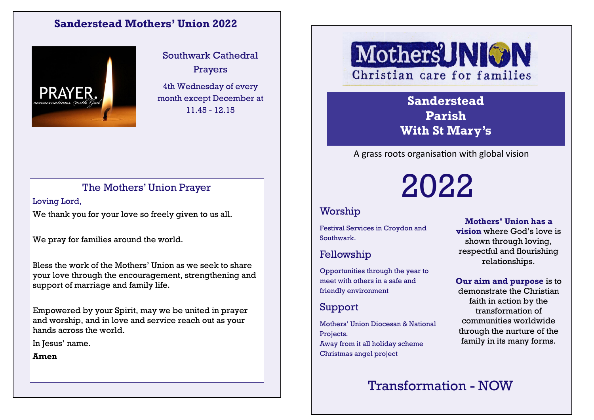#### **Sanderstead Mothers' Union 2022**



Southwark Cathedral Prayers

4th Wednesday of every month except December at 11.45 - 12.15

#### The Mothers' Union Prayer

Loving Lord, We thank you for your love so freely given to us all.

We pray for families around the world.

Bless the work of the Mothers' Union as we seek to share your love through the encouragement, strengthening and support of marriage and family life.

Empowered by your Spirit, may we be united in prayer and worship, and in love and service reach out as your hands across the world.

In Jesus' name.

**Amen**

# MothersUNION Christian care for families

**Sanderstead Parish With St Mary's**

A grass roots organisation with global vision

2022

### Worship

Festival Services in Croydon and Southwark.

#### Fellowship

Opportunities through the year to meet with others in a safe and friendly environment

### Support

Mothers' Union Diocesan & National Projects. Away from it all holiday scheme Christmas angel project

**Mothers' Union has a vision** where God's love is shown through loving, respectful and flourishing relationships.

**Our aim and purpose** is to demonstrate the Christian faith in action by the transformation of communities worldwide through the nurture of the family in its many forms.

## Transformation - NOW